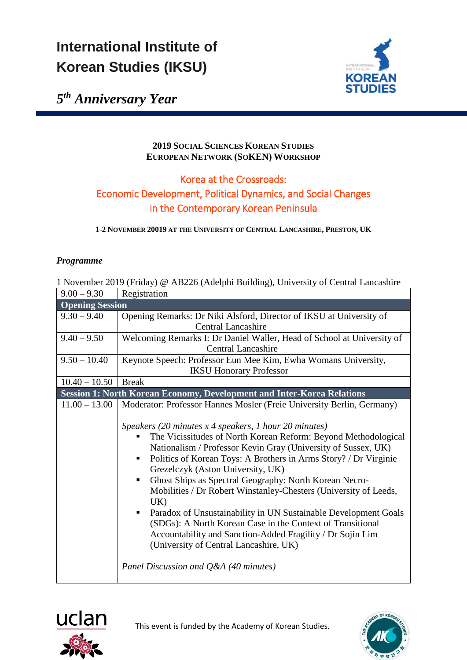# **International Institute of Korean Studies (IKSU)**



*5th Anniversary Year*

#### **2019 SOCIAL SCIENCES KOREAN STUDIES EUROPEAN NETWORK (SOKEN) WORKSHOP**

## Korea at the Crossroads: Economic Development, Political Dynamics, and Social Changes in the Contemporary Korean Peninsula

**1-2 NOVEMBER 20019 AT THE UNIVERSITY OF CENTRAL LANCASHIRE, PRESTON, UK**

### *Programme*

| 1 November 2019 (Friday) @ AB226 (Adelphi Building), University of Central Lancashire |                                                                                                                                                                                                                                                                                                                                                                                                                                                                                                                                                                                                                                                                                                                                                   |
|---------------------------------------------------------------------------------------|---------------------------------------------------------------------------------------------------------------------------------------------------------------------------------------------------------------------------------------------------------------------------------------------------------------------------------------------------------------------------------------------------------------------------------------------------------------------------------------------------------------------------------------------------------------------------------------------------------------------------------------------------------------------------------------------------------------------------------------------------|
| $9.00 - 9.30$                                                                         | Registration                                                                                                                                                                                                                                                                                                                                                                                                                                                                                                                                                                                                                                                                                                                                      |
| <b>Opening Session</b>                                                                |                                                                                                                                                                                                                                                                                                                                                                                                                                                                                                                                                                                                                                                                                                                                                   |
| $9.30 - 9.40$                                                                         | Opening Remarks: Dr Niki Alsford, Director of IKSU at University of                                                                                                                                                                                                                                                                                                                                                                                                                                                                                                                                                                                                                                                                               |
|                                                                                       | <b>Central Lancashire</b>                                                                                                                                                                                                                                                                                                                                                                                                                                                                                                                                                                                                                                                                                                                         |
| $9.40 - 9.50$                                                                         | Welcoming Remarks I: Dr Daniel Waller, Head of School at University of                                                                                                                                                                                                                                                                                                                                                                                                                                                                                                                                                                                                                                                                            |
|                                                                                       | <b>Central Lancashire</b>                                                                                                                                                                                                                                                                                                                                                                                                                                                                                                                                                                                                                                                                                                                         |
| $9.50 - 10.40$                                                                        | Keynote Speech: Professor Eun Mee Kim, Ewha Womans University,                                                                                                                                                                                                                                                                                                                                                                                                                                                                                                                                                                                                                                                                                    |
|                                                                                       | <b>IKSU Honorary Professor</b>                                                                                                                                                                                                                                                                                                                                                                                                                                                                                                                                                                                                                                                                                                                    |
| $10.40 - 10.50$                                                                       | <b>Break</b>                                                                                                                                                                                                                                                                                                                                                                                                                                                                                                                                                                                                                                                                                                                                      |
| <b>Session 1: North Korean Economy, Development and Inter-Korea Relations</b>         |                                                                                                                                                                                                                                                                                                                                                                                                                                                                                                                                                                                                                                                                                                                                                   |
| $11.00 - 13.00$                                                                       | Moderator: Professor Hannes Mosler (Freie University Berlin, Germany)                                                                                                                                                                                                                                                                                                                                                                                                                                                                                                                                                                                                                                                                             |
|                                                                                       | Speakers (20 minutes $x$ 4 speakers, 1 hour 20 minutes)<br>The Vicissitudes of North Korean Reform: Beyond Methodological<br>Nationalism / Professor Kevin Gray (University of Sussex, UK)<br>Politics of Korean Toys: A Brothers in Arms Story? / Dr Virginie<br>ш<br>Grezelczyk (Aston University, UK)<br>Ghost Ships as Spectral Geography: North Korean Necro-<br>Mobilities / Dr Robert Winstanley-Chesters (University of Leeds,<br>UK)<br>Paradox of Unsustainability in UN Sustainable Development Goals<br>$\blacksquare$<br>(SDGs): A North Korean Case in the Context of Transitional<br>Accountability and Sanction-Added Fragility / Dr Sojin Lim<br>(University of Central Lancashire, UK)<br>Panel Discussion and Q&A (40 minutes) |